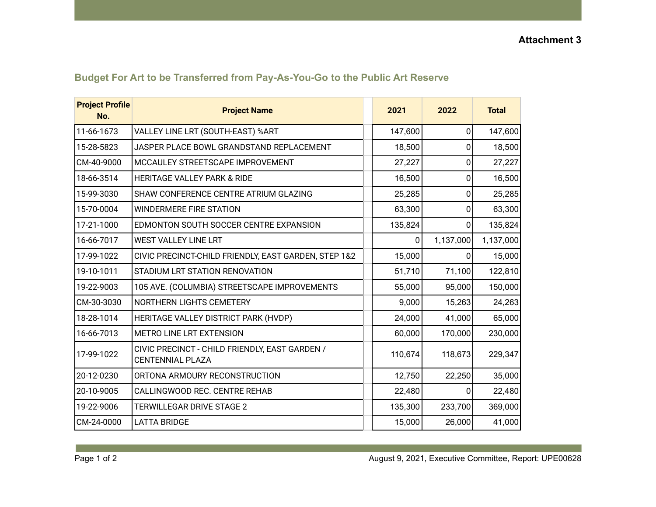| <b>Project Profile</b><br>No. | <b>Project Name</b>                                                       | 2021    | 2022         | <b>Total</b> |
|-------------------------------|---------------------------------------------------------------------------|---------|--------------|--------------|
| 11-66-1673                    | VALLEY LINE LRT (SOUTH-EAST) %ART                                         | 147,600 | 0            | 147,600      |
| 15-28-5823                    | JASPER PLACE BOWL GRANDSTAND REPLACEMENT                                  | 18,500  | 0            | 18,500       |
| CM-40-9000                    | MCCAULEY STREETSCAPE IMPROVEMENT                                          | 27,227  | 0            | 27,227       |
| 18-66-3514                    | <b>HERITAGE VALLEY PARK &amp; RIDE</b>                                    | 16,500  | 0            | 16,500       |
| 15-99-3030                    | SHAW CONFERENCE CENTRE ATRIUM GLAZING                                     | 25,285  | 0            | 25,285       |
| 15-70-0004                    | <b>WINDERMERE FIRE STATION</b>                                            | 63,300  | 0            | 63,300       |
| 17-21-1000                    | EDMONTON SOUTH SOCCER CENTRE EXPANSION                                    | 135,824 | 0            | 135,824      |
| 16-66-7017                    | <b>WEST VALLEY LINE LRT</b>                                               | 0       | 1,137,000    | 1,137,000    |
| 17-99-1022                    | CIVIC PRECINCT-CHILD FRIENDLY, EAST GARDEN, STEP 1&2                      | 15,000  | $\mathbf 0$  | 15,000       |
| 19-10-1011                    | STADIUM LRT STATION RENOVATION                                            | 51,710  | 71,100       | 122,810      |
| 19-22-9003                    | 105 AVE. (COLUMBIA) STREETSCAPE IMPROVEMENTS                              | 55,000  | 95,000       | 150,000      |
| CM-30-3030                    | NORTHERN LIGHTS CEMETERY                                                  | 9,000   | 15,263       | 24,263       |
| 18-28-1014                    | HERITAGE VALLEY DISTRICT PARK (HVDP)                                      | 24,000  | 41,000       | 65,000       |
| 16-66-7013                    | <b>METRO LINE LRT EXTENSION</b>                                           | 60,000  | 170,000      | 230,000      |
| 17-99-1022                    | CIVIC PRECINCT - CHILD FRIENDLY, EAST GARDEN /<br><b>CENTENNIAL PLAZA</b> | 110,674 | 118,673      | 229,347      |
| 20-12-0230                    | ORTONA ARMOURY RECONSTRUCTION                                             | 12,750  | 22,250       | 35,000       |
| 20-10-9005                    | CALLINGWOOD REC. CENTRE REHAB                                             | 22,480  | $\mathbf{0}$ | 22,480       |
| 19-22-9006                    | TERWILLEGAR DRIVE STAGE 2                                                 | 135,300 | 233,700      | 369,000      |
| CM-24-0000                    | <b>LATTA BRIDGE</b>                                                       | 15,000  | 26,000       | 41,000       |

## **Budget For Art to be Transferred from Pay-As-You-Go to the Public Art Reserve**